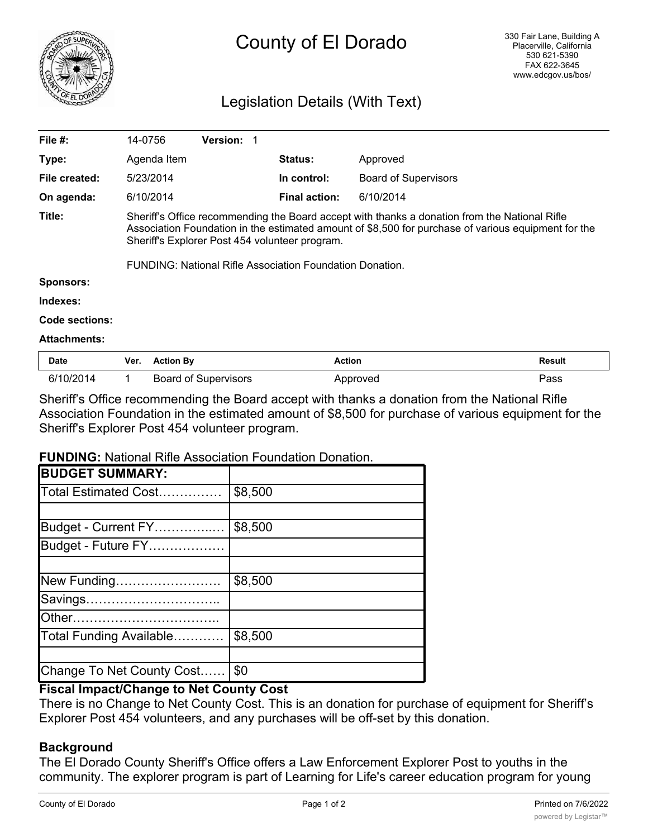

# County of El Dorado

# Legislation Details (With Text)

| File $#$ :          | 14-0756                                                                                                                                                                                                                                                                                                                   | <b>Version:</b> |                      |                             |  |
|---------------------|---------------------------------------------------------------------------------------------------------------------------------------------------------------------------------------------------------------------------------------------------------------------------------------------------------------------------|-----------------|----------------------|-----------------------------|--|
| Type:               | Agenda Item                                                                                                                                                                                                                                                                                                               |                 | <b>Status:</b>       | Approved                    |  |
| File created:       | 5/23/2014                                                                                                                                                                                                                                                                                                                 |                 | In control:          | <b>Board of Supervisors</b> |  |
| On agenda:          | 6/10/2014                                                                                                                                                                                                                                                                                                                 |                 | <b>Final action:</b> | 6/10/2014                   |  |
| Title:              | Sheriff's Office recommending the Board accept with thanks a donation from the National Rifle<br>Association Foundation in the estimated amount of \$8,500 for purchase of various equipment for the<br>Sheriff's Explorer Post 454 volunteer program.<br><b>FUNDING: National Rifle Association Foundation Donation.</b> |                 |                      |                             |  |
| <b>Sponsors:</b>    |                                                                                                                                                                                                                                                                                                                           |                 |                      |                             |  |
| Indexes:            |                                                                                                                                                                                                                                                                                                                           |                 |                      |                             |  |
| Code sections:      |                                                                                                                                                                                                                                                                                                                           |                 |                      |                             |  |
| <b>Attachments:</b> |                                                                                                                                                                                                                                                                                                                           |                 |                      |                             |  |
| <b>Date</b>         | <b>Action By</b><br>Ver.                                                                                                                                                                                                                                                                                                  |                 | <b>Action</b>        | Result                      |  |

| Dale      | VUI. | ACUOII DY                   | Auuun    | resuit |
|-----------|------|-----------------------------|----------|--------|
| 6/10/2014 |      | <b>Board of Supervisors</b> | Approved | Pass   |

Sheriff's Office recommending the Board accept with thanks a donation from the National Rifle Association Foundation in the estimated amount of \$8,500 for purchase of various equipment for the Sheriff's Explorer Post 454 volunteer program.

## **FUNDING:** National Rifle Association Foundation Donation.

| <b>BUDGET SUMMARY:</b>    |         |
|---------------------------|---------|
| Total Estimated Cost      | \$8,500 |
|                           |         |
| Budget - Current FY       | \$8,500 |
| Budget - Future FY        |         |
|                           |         |
| New Funding               | \$8,500 |
| Savings                   |         |
|                           |         |
| Total Funding Available   | \$8,500 |
|                           |         |
| Change To Net County Cost | \$0     |

## **Fiscal Impact/Change to Net County Cost**

There is no Change to Net County Cost. This is an donation for purchase of equipment for Sheriff's Explorer Post 454 volunteers, and any purchases will be off-set by this donation.

## **Background**

The El Dorado County Sheriff's Office offers a Law Enforcement Explorer Post to youths in the community. The explorer program is part of Learning for Life's career education program for young